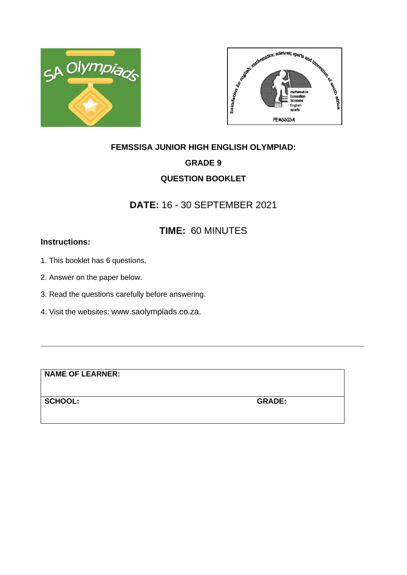



# **FEMSSISA JUNIOR HIGH ENGLISH OLYMPIAD: GRADE 9 QUESTION BOOKLET**

### **DATE:** 16 - 30 SEPTEMBER 2021

## **TIME:** 60 MINUTES

**\_\_\_\_\_\_\_\_\_\_\_\_\_\_\_\_\_\_\_\_\_\_\_\_\_\_\_\_\_\_\_\_\_\_\_\_\_\_\_\_\_\_\_\_\_\_\_\_\_\_\_\_\_\_\_\_\_\_\_\_\_\_\_\_\_\_\_\_\_\_\_**

### **Instructions:**

- 1. This booklet has 6 questions.
- 2. Answer on the paper below.
- 3. Read the questions carefully before answering.
- 4. Visit the websites: www.saolympiads.co.za.

**NAME OF LEARNER:**

**SCHOOL: GRADE:**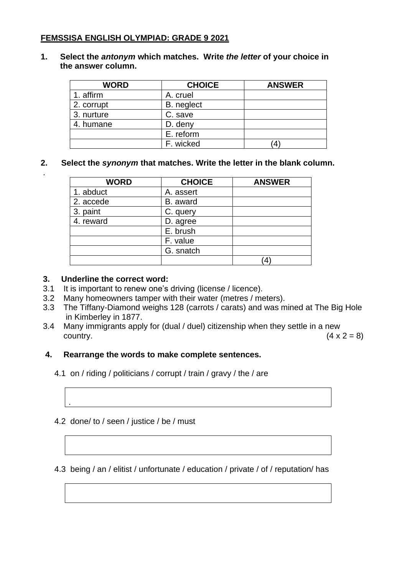#### **FEMSSISA ENGLISH OLYMPIAD: GRADE 9 2021**

**1. Select the** *antonym* **which matches. Write** *the letter* **of your choice in the answer column.**

| <b>WORD</b> | <b>CHOICE</b> | <b>ANSWER</b> |
|-------------|---------------|---------------|
| 1. affirm   | A. cruel      |               |
| 2. corrupt  | B. neglect    |               |
| 3. nurture  | C. save       |               |
| 4. humane   | D. deny       |               |
|             | E. reform     |               |
|             | F. wicked     | 4             |

**2. Select the** *synonym* **that matches. Write the letter in the blank column.** 

| <b>WORD</b> | <b>CHOICE</b> | <b>ANSWER</b> |
|-------------|---------------|---------------|
| 1. abduct   | A. assert     |               |
| 2. accede   | B. award      |               |
| 3. paint    | C. query      |               |
| 4. reward   | D. agree      |               |
|             | E. brush      |               |
|             | F. value      |               |
|             | G. snatch     |               |
|             |               | 4             |

#### **3. Underline the correct word:**

.

- 3.1 It is important to renew one's driving (license / licence).
- 3.2 Many homeowners tamper with their water (metres / meters).
- 3.3 The Tiffany-Diamond weighs 128 (carrots / carats) and was mined at The Big Hole in Kimberley in 1877.
- 3.4 Many immigrants apply for (dual / duel) citizenship when they settle in a new country.  $(4 \times 2 = 8)$ country.  $(4 \times 2 = 8)$

#### **4. Rearrange the words to make complete sentences.**

- 4.1 on / riding / politicians / corrupt / train / gravy / the / are
- 4.2 done/ to / seen / justice / be / must

.

4.3 being / an / elitist / unfortunate / education / private / of / reputation/ has